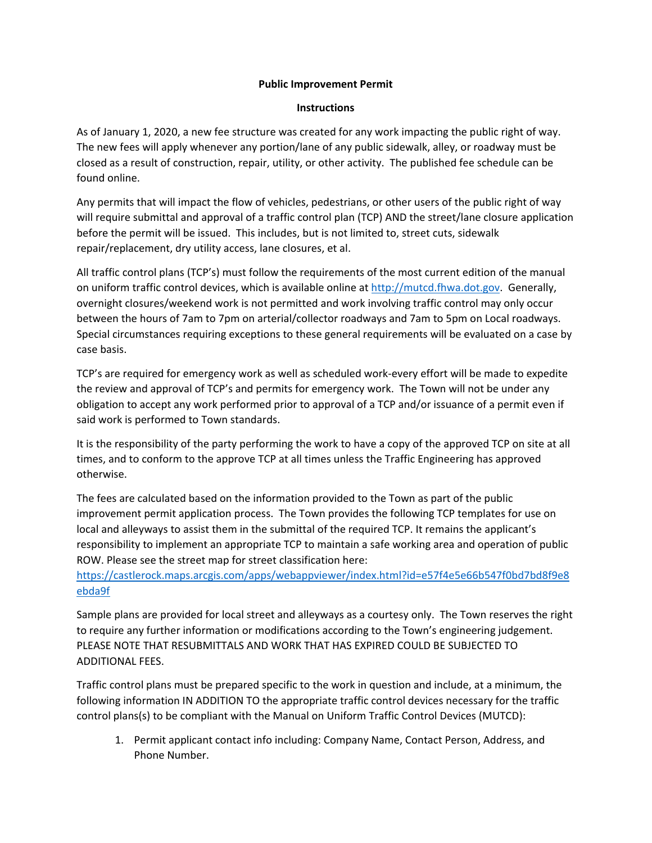## **Public Improvement Permit**

## **Instructions**

As of January 1, 2020, a new fee structure was created for any work impacting the public right of way. The new fees will apply whenever any portion/lane of any public sidewalk, alley, or roadway must be closed as a result of construction, repair, utility, or other activity. The published fee schedule can be found online.

Any permits that will impact the flow of vehicles, pedestrians, or other users of the public right of way will require submittal and approval of a traffic control plan (TCP) AND the street/lane closure application before the permit will be issued. This includes, but is not limited to, street cuts, sidewalk repair/replacement, dry utility access, lane closures, et al.

All traffic control plans (TCP's) must follow the requirements of the most current edition of the manual on uniform traffic control devices, which is available online at [http://mutcd.fhwa.dot.gov.](http://mutcd.fhwa.dot.gov/) Generally, overnight closures/weekend work is not permitted and work involving traffic control may only occur between the hours of 7am to 7pm on arterial/collector roadways and 7am to 5pm on Local roadways. Special circumstances requiring exceptions to these general requirements will be evaluated on a case by case basis.

TCP's are required for emergency work as well as scheduled work-every effort will be made to expedite the review and approval of TCP's and permits for emergency work. The Town will not be under any obligation to accept any work performed prior to approval of a TCP and/or issuance of a permit even if said work is performed to Town standards.

It is the responsibility of the party performing the work to have a copy of the approved TCP on site at all times, and to conform to the approve TCP at all times unless the Traffic Engineering has approved otherwise.

The fees are calculated based on the information provided to the Town as part of the public improvement permit application process. The Town provides the following TCP templates for use on local and alleyways to assist them in the submittal of the required TCP. It remains the applicant's responsibility to implement an appropriate TCP to maintain a safe working area and operation of public ROW. Please see the street map for street classification here:

[https://castlerock.maps.arcgis.com/apps/webappviewer/index.html?id=e57f4e5e66b547f0bd7bd8f9e8](https://castlerock.maps.arcgis.com/apps/webappviewer/index.html?id=e57f4e5e66b547f0bd7bd8f9e8ebda9f) [ebda9f](https://castlerock.maps.arcgis.com/apps/webappviewer/index.html?id=e57f4e5e66b547f0bd7bd8f9e8ebda9f)

Sample plans are provided for local street and alleyways as a courtesy only. The Town reserves the right to require any further information or modifications according to the Town's engineering judgement. PLEASE NOTE THAT RESUBMITTALS AND WORK THAT HAS EXPIRED COULD BE SUBJECTED TO ADDITIONAL FEES.

Traffic control plans must be prepared specific to the work in question and include, at a minimum, the following information IN ADDITION TO the appropriate traffic control devices necessary for the traffic control plans(s) to be compliant with the Manual on Uniform Traffic Control Devices (MUTCD):

1. Permit applicant contact info including: Company Name, Contact Person, Address, and Phone Number.